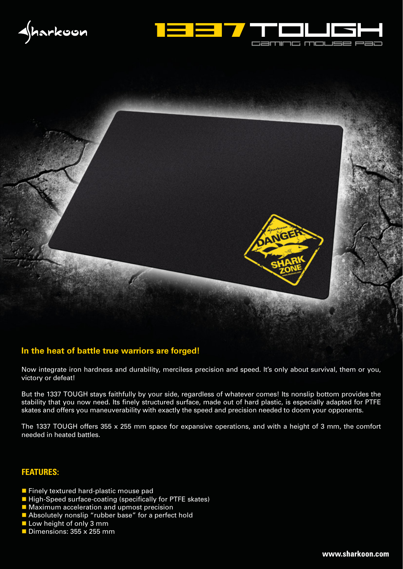





## **In the heat of battle true warriors are forged!**

Now integrate iron hardness and durability, merciless precision and speed. It's only about survival, them or you, victory or defeat!

But the 1337 TOUGH stays faithfully by your side, regardless of whatever comes! Its nonslip bottom provides the stability that you now need. Its finely structured surface, made out of hard plastic, is especially adapted for PTFE skates and offers you maneuverability with exactly the speed and precision needed to doom your opponents.

The 1337 TOUGH offers 355 x 255 mm space for expansive operations, and with a height of 3 mm, the comfort needed in heated battles.

## **FEATURES:**

- **Finely textured hard-plastic mouse pad**
- High-Speed surface-coating (specifically for PTFE skates)
- **Maximum acceleration and upmost precision**
- **Absolutely nonslip "rubber base" for a perfect hold**
- Low height of only 3 mm
- $\blacksquare$  Dimensions: 355 x 255 mm